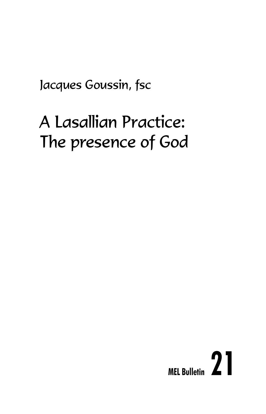Jacques Goussin, fsc

# A Lasallian Practice: The presence of God

# **MEL Bulletin 21**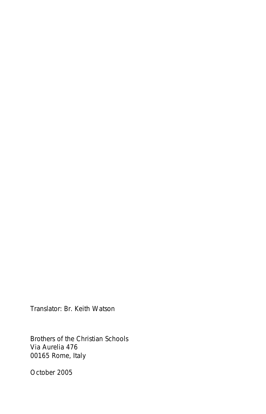Translator: Br. Keith Watson

Brothers of the Christian Schools Via Aurelia 476 00165 Rome, Italy

October 2005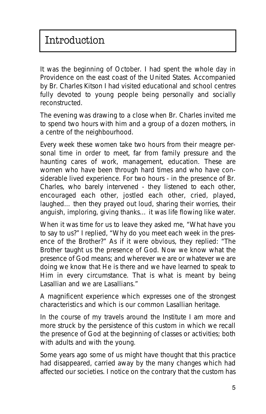It was the beginning of October. I had spent the whole day in Providence on the east coast of the United States. Accompanied by Br. Charles Kitson I had visited educational and school centres fully devoted to young people being personally and socially reconstructed.

The evening was drawing to a close when Br. Charles invited me to spend two hours with him and a group of a dozen mothers, in a centre of the neighbourhood.

Every week these women take two hours from their meagre personal time in order to meet, far from family pressure and the haunting cares of work, management, education. These are women who have been through hard times and who have considerable lived experience. For two hours - in the presence of Br. Charles, who barely intervened - they listened to each other, encouraged each other, jostled each other, cried, played, laughed… then they prayed out loud, sharing their worries, their anguish, imploring, giving thanks… it was life flowing like water.

When it was time for us to leave they asked me, "What have you to say to us?" I replied, "Why do you meet each week in the presence of the Brother?" As if it were obvious, they replied: "The Brother taught us the presence of God. Now we know what the presence of God means; and wherever we are or whatever we are doing we know that He is there and we have learned to speak to Him in every circumstance. That is what is meant by being Lasallian and we are Lasallians."

A magnificent experience which expresses one of the strongest characteristics and which is our common Lasallian heritage.

In the course of my travels around the Institute I am more and more struck by the persistence of this custom in which we recall the presence of God at the beginning of classes or activities; both with adults and with the young.

Some years ago some of us might have thought that this practice had disappeared, carried away by the many changes which had affected our societies. I notice on the contrary that the custom has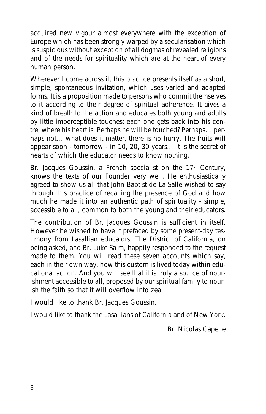acquired new vigour almost everywhere with the exception of Europe which has been strongly warped by a secularisation which is suspicious without exception of all dogmas of revealed religions and of the needs for spirituality which are at the heart of every human person.

Wherever I come across it, this practice presents itself as a short, simple, spontaneous invitation, which uses varied and adapted forms. It is a proposition made to persons who commit themselves to it according to their degree of spiritual adherence. It gives a kind of breath to the action and educates both young and adults by little imperceptible touches: each one gets back into his centre, where his heart is. Perhaps he will be touched? Perhaps… perhaps not... what does it matter, there is no hurry. The fruits will appear soon - tomorrow - in 10, 20, 30 years… it is the secret of hearts of which the educator needs to know nothing.

Br. Jacques Goussin, a French specialist on the  $17<sup>th</sup>$  Century, knows the texts of our Founder very well. He enthusiastically agreed to show us all that John Baptist de La Salle wished to say through this practice of recalling the presence of God and how much he made it into an authentic path of spirituality - simple, accessible to all, common to both the young and their educators.

The contribution of Br. Jacques Goussin is sufficient in itself. However he wished to have it prefaced by some present-day testimony from Lasallian educators. The District of California, on being asked, and Br. Luke Salm, happily responded to the request made to them. You will read these seven accounts which say, each in their own way, how this custom is lived today within educational action. And you will see that it is truly a source of nourishment accessible to all, proposed by our spiritual family to nourish the faith so that it will overflow into zeal.

I would like to thank Br. Jacques Goussin.

I would like to thank the Lasallians of California and of New York.

*Br. Nicolas Capelle*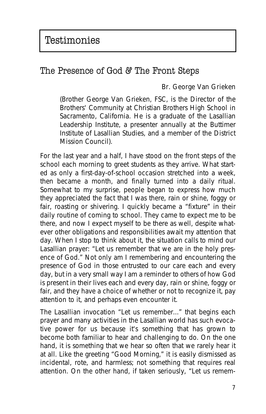#### The Presence of God & The Front Steps

#### **Br. George Van Grieken**

*(Brother George Van Grieken, FSC, is the Director of the Brothers' Community at Christian Brothers High School in Sacramento, California. He is a graduate of the Lasallian Leadership Institute, a presenter annually at the Buttimer Institute of Lasallian Studies, and a member of the District Mission Council).*

For the last year and a half, I have stood on the front steps of the school each morning to greet students as they arrive. What started as only a first-day-of-school occasion stretched into a week, then became a month, and finally turned into a daily ritual. Somewhat to my surprise, people began to express how much they appreciated the fact that I was there, rain or shine, foggy or fair, roasting or shivering. I quickly became a "fixture" in their daily routine of coming to school. They came to expect me to be there, and now I expect myself to be there as well, despite whatever other obligations and responsibilities await my attention that day. When I stop to think about it, the situation calls to mind our Lasallian prayer: "Let us remember that we are in the holy presence of God." Not only am I remembering and encountering the presence of God in those entrusted to our care each and every day, but in a very small way I am a reminder to others of how God is present in their lives each and every day, rain or shine, foggy or fair, and they have a choice of whether or not to recognize it, pay attention to it, and perhaps even encounter it.

The Lasallian invocation "Let us remember..." that begins each prayer and many activities in the Lasallian world has such evocative power for us because it's something that has grown to become both familiar to hear and challenging to do. On the one hand, it is something that we hear so often that we rarely hear it at all. Like the greeting "Good Morning," it is easily dismissed as incidental, rote, and harmless; not something that requires real attention. On the other hand, if taken seriously, "Let us remem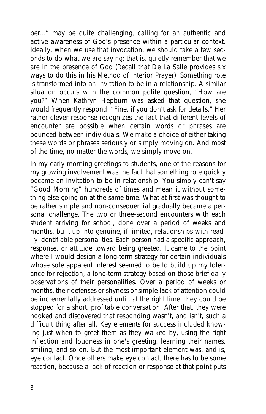ber..." may be quite challenging, calling for an authentic and active awareness of God's presence within a particular context. Ideally, when we use that invocation, we should take a few seconds to do what we are saying; that is, quietly remember that we are in the presence of God (Recall that De La Salle provides six ways to do this in his Method of Interior Prayer). Something rote is transformed into an invitation to be in a relationship. A similar situation occurs with the common polite question, "How are you?" When Kathryn Hepburn was asked that question, she would frequently respond: "Fine, if you don't ask for details." Her rather clever response recognizes the fact that different levels of encounter are possible when certain words or phrases are bounced between individuals. We make a choice of either taking these words or phrases seriously or simply moving on. And most of the time, no matter the words, we simply move on.

In my early morning greetings to students, one of the reasons for my growing involvement was the fact that something rote quickly became an invitation to be in relationship. You simply can't say "Good Morning" hundreds of times and mean it without something else going on at the same time. What at first was thought to be rather simple and non-consequential gradually became a personal challenge. The two or three-second encounters with each student arriving for school, done over a period of weeks and months, built up into genuine, if limited, relationships with readily identifiable personalities. Each person had a specific approach, response, or attitude toward being greeted. It came to the point where I would design a long-term strategy for certain individuals whose sole apparent interest seemed to be to build up my tolerance for rejection, a long-term strategy based on those brief daily observations of their personalities. Over a period of weeks or months, their defenses or shyness or simple lack of attention could be incrementally addressed until, at the right time, they could be stopped for a short, profitable conversation. After that, they were hooked and discovered that responding wasn't, and isn't, such a difficult thing after all. Key elements for success included knowing just when to greet them as they walked by, using the right inflection and loudness in one's greeting, learning their names, smiling, and so on. But the most important element was, and is, eye contact. Once others make eye contact, there has to be some reaction, because a lack of reaction or response at that point puts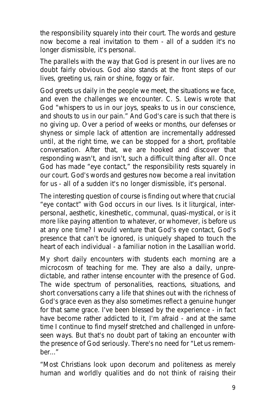the responsibility squarely into their court. The words and gesture now become a real invitation to them - all of a sudden it's no longer dismissible, it's personal.

The parallels with the way that God is present in our lives are no doubt fairly obvious. God also stands at the front steps of our lives, greeting us, rain or shine, foggy or fair.

God greets us daily in the people we meet, the situations we face, and even the challenges we encounter. C. S. Lewis wrote that God "whispers to us in our joys, speaks to us in our conscience, and shouts to us in our pain." And God's care is such that there is no giving up. Over a period of weeks or months, our defenses or shyness or simple lack of attention are incrementally addressed until, at the right time, we can be stopped for a short, profitable conversation. After that, we are hooked and discover that responding wasn't, and isn't, such a difficult thing after all. Once God has made "eye contact," the responsibility rests squarely in our court. God's words and gestures now become a real invitation for us - all of a sudden it's no longer dismissible, it's personal.

The interesting question of course is finding out where that crucial "eye contact" with God occurs in our lives. Is it liturgical, interpersonal, aesthetic, kinesthetic, communal, quasi-mystical, or is it more like paying attention to whatever, or whomever, is before us at any one time? I would venture that God's eye contact, God's presence that can't be ignored, is uniquely shaped to touch the heart of each individual - a familiar notion in the Lasallian world.

My short daily encounters with students each morning are a microcosm of teaching for me. They are also a daily, unpredictable, and rather intense encounter with the presence of God. The wide spectrum of personalities, reactions, situations, and short conversations carry a life that shines out with the richness of God's grace even as they also sometimes reflect a genuine hunger for that same grace. I've been blessed by the experience - in fact have become rather addicted to it, I'm afraid - and at the same time I continue to find myself stretched and challenged in unforeseen ways. But that's no doubt part of taking an encounter with the presence of God seriously. There's no need for "Let us remem $her.$ "

"Most Christians look upon decorum and politeness as merely human and worldly qualities and do not think of raising their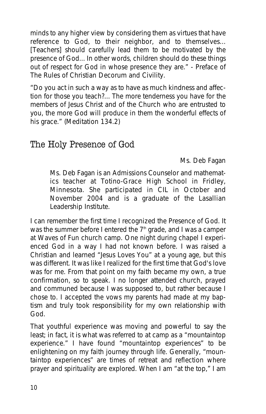minds to any higher view by considering them as virtues that have reference to God, to their neighbor, and to themselves... [Teachers] should carefully lead them to be motivated by the presence of God... In other words, children should do these things out of respect for God in whose presence they are." - Preface of *The Rules of Christian Decorum and Civility.*

"Do you act in such a way as to have as much kindness and affection for those you teach?... The more tenderness you have for the members of Jesus Christ and of the Church who are entrusted to you, the more God will produce in them the wonderful effects of his grace." (Meditation 134.2)

# The Holy Presence of God

#### **Ms. Deb Fagan**

*Ms. Deb Fagan is an Admissions Counselor and mathematics teacher at Totino-Grace High School in Fridley, Minnesota. She participated in CIL in October and November 2004 and is a graduate of the Lasallian Leadership Institute.*

I can remember the first time I recognized the Presence of God. It was the summer before I entered the  $7<sup>th</sup>$  grade, and I was a camper at Waves of Fun church camp. One night during chapel I experienced God in a way I had not known before. I was raised a Christian and learned "Jesus Loves You" at a young age, but this was different. It was like I realized for the first time that God's love was for me. From that point on my faith became my own, a true confirmation, so to speak. I no longer attended church, prayed and communed because I was supposed to, but rather because I chose to. I accepted the vows my parents had made at my baptism and truly took responsibility for my own relationship with God.

That youthful experience was moving and powerful to say the least; in fact, it is what was referred to at camp as a "mountaintop experience." I have found "mountaintop experiences" to be enlightening on my faith journey through life. Generally, "mountaintop experiences" are times of retreat and reflection where prayer and spirituality are explored. When I am "at the top," I am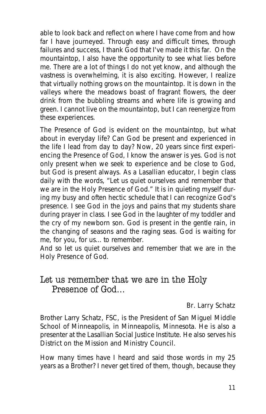able to look back and reflect on where I have come from and how far I have journeyed. Through easy and difficult times, through failures and success, I thank God that I've made it this far. On the mountaintop, I also have the opportunity to see what lies before me. There are a lot of things I do not yet know, and although the vastness is overwhelming, it is also exciting. However, I realize that virtually nothing grows on the mountaintop. It is down in the valleys where the meadows boast of fragrant flowers, the deer drink from the bubbling streams and where life is growing and green. I cannot live on the mountaintop, but I can reenergize from these experiences.

The Presence of God is evident on the mountaintop, but what about in everyday life? Can God be present and experienced in the life I lead from day to day? Now, 20 years since first experiencing the Presence of God, I know the answer is yes. God is not only present when we seek to experience and be close to God, but God is present always. As a Lasallian educator, I begin class daily with the words, "Let us quiet ourselves and remember that we are in the Holy Presence of God." It is in quieting myself during my busy and often hectic schedule that I can recognize God's presence. I see God in the joys and pains that my students share during prayer in class. I see God in the laughter of my toddler and the cry of my newborn son. God is present in the gentle rain, in the changing of seasons and the raging seas. God is waiting for me, for you, for us... to remember.

And so let us quiet ourselves and remember that we are in the Holy Presence of God.

#### Let us remember that we are in the Holy Presence of God…

#### **Br. Larry Schatz**

*Brother Larry Schatz, FSC, is the President of San Miguel Middle School of Minneapolis, in Minneapolis, Minnesota. He is also a presenter at the Lasallian Social Justice Institute. He also serves his District on the Mission and Ministry Council.*

How many times have I heard and said those words in my 25 years as a Brother? I never get tired of them, though, because they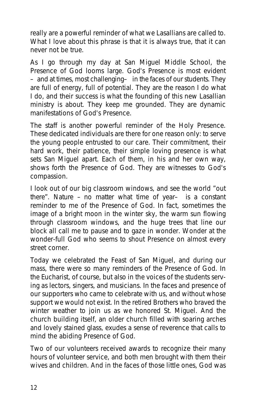really are a powerful reminder of what we Lasallians are called to. What I love about this phrase is that it is always true, that it can never not be true.

As I go through my day at San Miguel Middle School, the Presence of God looms large. God's Presence is most evident –and at times, most challenging– in the faces of our students. They are full of energy, full of potential. They are the reason I do what I do, and their success is what the founding of this new Lasallian ministry is about. They keep me grounded. They are dynamic manifestations of God's Presence.

The staff is another powerful reminder of the Holy Presence. These dedicated individuals are there for one reason only: to serve the young people entrusted to our care. Their commitment, their hard work, their patience, their simple loving presence is what sets San Miguel apart. Each of them, in his and her own way, shows forth the Presence of God. They are witnesses to God's compassion.

I look out of our big classroom windows, and see the world "out there". Nature  $-$  no matter what time of year- is a constant reminder to me of the Presence of God. In fact, sometimes the image of a bright moon in the winter sky, the warm sun flowing through classroom windows, and the huge trees that line our block all call me to pause and to gaze in wonder. Wonder at the wonder-full God who seems to shout Presence on almost every street corner.

Today we celebrated the Feast of San Miguel, and during our mass, there were so many reminders of the Presence of God. In the Eucharist, of course, but also in the voices of the students serving as lectors, singers, and musicians. In the faces and presence of our supporters who came to celebrate with us, and without whose support we would not exist. In the retired Brothers who braved the winter weather to join us as we honored St. Miguel. And the church building itself, an older church filled with soaring arches and lovely stained glass, exudes a sense of reverence that calls to mind the abiding Presence of God.

Two of our volunteers received awards to recognize their many hours of volunteer service, and both men brought with them their wives and children. And in the faces of those little ones, God was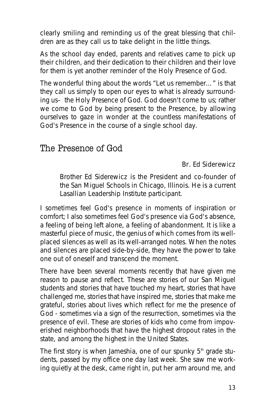clearly smiling and reminding us of the great blessing that children are as they call us to take delight in the little things.

As the school day ended, parents and relatives came to pick up their children, and their dedication to their children and their love for them is yet another reminder of the Holy Presence of God.

The wonderful thing about the words "Let us remember…" is that they call us simply to open our eyes to what is already surrounding us- the Holy Presence of God. God doesn't come to us; rather we come to God by being present to the Presence, by allowing ourselves to gaze in wonder at the countless manifestations of God's Presence in the course of a single school day.

#### The Presence of God

#### **Br. Ed Siderewicz**

*Brother Ed Siderewicz is the President and co-founder of the San Miguel Schools in Chicago, Illinois. He is a current Lasallian Leadership Institute participant.*

I sometimes feel God's presence in moments of inspiration or comfort; I also sometimes feel God's presence via God's absence, a feeling of being left alone, a feeling of abandonment. It is like a masterful piece of music, the genius of which comes from its wellplaced silences as well as its well-arranged notes. When the notes and silences are placed side-by-side, they have the power to take one out of oneself and transcend the moment.

There have been several moments recently that have given me reason to pause and reflect. These are stories of our San Miguel students and stories that have touched my heart, stories that have challenged me, stories that have inspired me, stories that make me grateful, stories about lives which reflect for me the presence of God - sometimes via a sign of the resurrection, sometimes via the presence of evil. These are stories of kids who come from impoverished neighborhoods that have the highest dropout rates in the state, and among the highest in the United States.

The first story is when Jameshia, one of our spunky  $5<sup>th</sup>$  grade students, passed by my office one day last week. She saw me working quietly at the desk, came right in, put her arm around me, and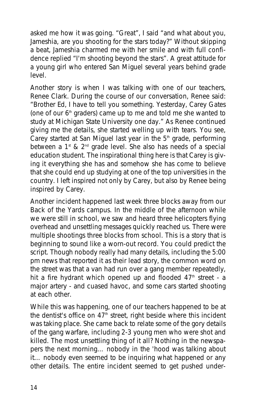asked me how it was going. "Great", I said "and what about you, Jameshia, are you shooting for the stars today?" Without skipping a beat, Jameshia charmed me with her smile and with full confidence replied "I'm shooting beyond the stars". A great attitude for a young girl who entered San Miguel several years behind grade level.

Another story is when I was talking with one of our teachers, Renee Clark. During the course of our conversation, Renee said: "Brother Ed, I have to tell you something. Yesterday, Carey Gates (one of our  $6<sup>th</sup>$  graders) came up to me and told me she wanted to study at Michigan State University one day." As Renee continued giving me the details, she started welling up with tears. You see, Carey started at San Miguel last year in the  $5<sup>th</sup>$  grade, performing between a  $1^{\text{st}}$  &  $2^{\text{nd}}$  grade level. She also has needs of a special education student. The inspirational thing here is that Carey is giving it everything she has and somehow she has come to believe that she could end up studying at one of the top universities in the country. I left inspired not only by Carey, but also by Renee being inspired by Carey.

Another incident happened last week three blocks away from our Back of the Yards campus. In the middle of the afternoon while we were still in school, we saw and heard three helicopters flying overhead and unsettling messages quickly reached us. There were multiple shootings three blocks from school. This is a story that is beginning to sound like a worn-out record. You could predict the script. Though nobody really had many details, including the 5:00 pm news that reported it as their lead story, the common word on the street was that a van had run over a gang member repeatedly, hit a fire hydrant which opened up and flooded  $47<sup>th</sup>$  street - a major artery - and cuased havoc, and some cars started shooting at each other.

While this was happening, one of our teachers happened to be at the dentist's office on  $47<sup>th</sup>$  street, right beside where this incident was taking place. She came back to relate some of the gory details of the gang warfare, including 2-3 young men who were shot and killed. The most unsettling thing of it all? Nothing in the newspapers the next morning… nobody in the 'hood was talking about it… nobody even seemed to be inquiring what happened or any other details. The entire incident seemed to get pushed under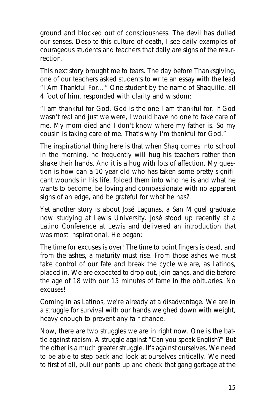ground and blocked out of consciousness. The devil has dulled our senses. Despite this culture of death, I see daily examples of courageous students and teachers that daily are signs of the resurrection.

This next story brought me to tears. The day before Thanksgiving, one of our teachers asked students to write an essay with the lead "I Am Thankful For…" One student by the name of Shaquille, all 4 foot of him, responded with clarity and wisdom:

"*I am thankful for God. God is the one I am thankful for. If God wasn't real and just we were, I would have no one to take care of me. My mom died and I don't know where my father is. So my cousin is taking care of me. That's why I'm thankful for God*."

The inspirational thing here is that when Shaq comes into school in the morning, he frequently will hug his teachers rather than shake their hands. And it is a hug with lots of affection. My question is how can a 10 year-old who has taken some pretty significant wounds in his life, folded them into who he is and what he wants to become, be loving and compassionate with no apparent signs of an edge, and be grateful for what he has?

Yet another story is about José Lagunas, a San Miguel graduate now studying at Lewis University. José stood up recently at a Latino Conference at Lewis and delivered an introduction that was most inspirational. He began:

*The time for excuses is over! The time to point fingers is dead, and from the ashes, a maturity must rise. From those ashes we must take control of our fate and break the cycle we are, as Latinos, placed in. We are expected to drop out, join gangs, and die before the age of 18 with our 15 minutes of fame in the obituaries. No excuses!*

*Coming in as Latinos, we're already at a disadvantage. We are in a struggle for survival with our hands weighed down with weight, heavy enough to prevent any fair chance.*

*Now, there are two struggles we are in right now. One is the battle against racism. A struggle against "Can you speak English?" But the other is a much greater struggle. It's against ourselves. We need to be able to step back and look at ourselves critically. We need to first of all, pull our pants up and check that gang garbage at the*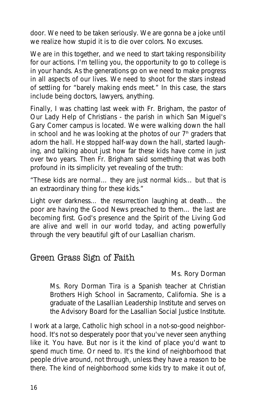*door. We need to be taken seriously. We are gonna be a joke until we realize how stupid it is to die over colors. No excuses.*

*We are in this together, and we need to start taking responsibility for our actions. I'm telling you, the opportunity to go to college is in your hands. As the generations go on we need to make progress in all aspects of our lives. We need to shoot for the stars instead of settling for "barely making ends meet." In this case, the stars include being doctors, lawyers, anything.*

Finally, I was chatting last week with Fr. Brigham, the pastor of Our Lady Help of Christians - the parish in which San Miguel's Gary Comer campus is located. We were walking down the hall in school and he was looking at the photos of our  $7<sup>th</sup>$  graders that adorn the hall. He stopped half-way down the hall, started laughing, and talking about just how far these kids have come in just over two years. Then Fr. Brigham said something that was both profound in its simplicity yet revealing of the truth:

*"These kids are normal… they are just normal kids… but that is an extraordinary thing for these kids."*

Light over darkness… the resurrection laughing at death… the poor are having the *Good News* preached to them… the last are becoming first. God's presence and the Spirit of the Living God are alive and well in our world today, and acting powerfully through the very beautiful gift of our Lasallian charism.

#### Green Grass Sign of Faith

#### **Ms. Rory Dorman**

*Ms. Rory Dorman Tira is a Spanish teacher at Christian Brothers High School in Sacramento, California. She is a graduate of the Lasallian Leadership Institute and serves on the Advisory Board for the Lasallian Social Justice Institute.*

I work at a large, Catholic high school in a not-so-good neighborhood. It's not so desperately poor that you've never seen anything like it. You have. But nor is it the kind of place you'd want to spend much time. Or need to. It's the kind of neighborhood that people drive around, not through, unless they have a reason to be there. The kind of neighborhood some kids try to make it out of,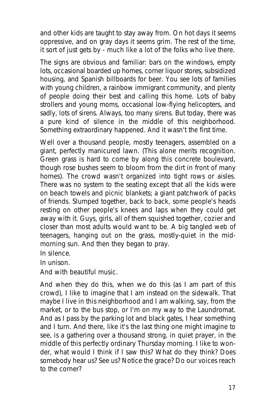and other kids are taught to stay away from. On hot days it seems oppressive, and on gray days it seems grim. The rest of the time, it sort of just gets by - much like a lot of the folks who live there.

The signs are obvious and familiar: bars on the windows, empty lots, occasional boarded up homes, corner liquor stores, subsidized housing, and Spanish billboards for beer. You see lots of families with young children, a rainbow immigrant community, and plenty of people doing their best and calling this home. Lots of baby strollers and young moms, occasional low-flying helicopters, and sadly, lots of sirens. Always, too many sirens. But today, there was a pure kind of silence in the middle of this neighborhood. Something extraordinary happened. And it wasn't the first time.

Well over a thousand people, mostly teenagers, assembled on a giant, perfectly manicured lawn. (This alone merits recognition. Green grass is hard to come by along this concrete boulevard, though rose bushes seem to bloom from the dirt in front of many homes). The crowd wasn't organized into tight rows or aisles. There was no system to the seating except that all the kids were on beach towels and picnic blankets; a giant patchwork of packs of friends. Slumped together, back to back, some people's heads resting on other people's knees and laps when they could get away with it. Guys, girls, all of them squished together, cozier and closer than most adults would want to be. A big tangled web of teenagers, hanging out on the grass, mostly-quiet in the midmorning sun. And then they began to pray.

In silence.

In unison.

And with beautiful music.

And when they do this, when we do this (as I am part of this crowd), I like to imagine that I am instead on the sidewalk. That maybe I live in this neighborhood and I am walking, say, from the market, or to the bus stop, or I'm on my way to the Laundromat. And as I pass by the parking lot and black gates, I hear something and I turn. And there, like it's the last thing one might imagine to see, is a gathering over a thousand strong, in quiet prayer, in the middle of this perfectly ordinary Thursday morning. I like to wonder, what would I think if I saw this? What do they think? Does somebody hear us? See us? Notice the grace? Do our voices reach to the corner?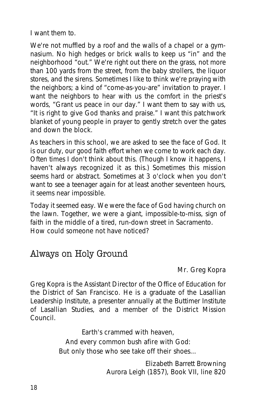I want them to.

We're not muffled by a roof and the walls of a chapel or a gymnasium. No high hedges or brick walls to keep us "in" and the neighborhood "out." We're right out there on the grass, not more than 100 yards from the street, from the baby strollers, the liquor stores, and the sirens. Sometimes I like to think we're praying with the neighbors; a kind of "come-as-you-are" invitation to prayer. I want the neighbors to hear with us the comfort in the priest's words, "Grant us peace in our day." I want them to say with us, "It is right to give God thanks and praise." I want this patchwork blanket of young people in prayer to gently stretch over the gates and down the block.

As teachers in this school, we are asked to see the face of God. It is our duty, our good faith effort when we come to work each day. Often times I don't think about this. (Though I know it happens, I haven't always recognized it as this.) Sometimes this mission seems hard or abstract. Sometimes at 3 o'clock when you don't want to see a teenager again for at least another seventeen hours, it seems near impossible.

Today it seemed easy. We were the face of God having church on the lawn. Together, we were a giant, impossible-to-miss, sign of faith in the middle of a tired, run-down street in Sacramento. How could someone not have noticed?

## Always on Holy Ground

#### **Mr. Greg Kopra**

*Greg Kopra is the Assistant Director of the Office of Education for the District of San Francisco. He is a graduate of the Lasallian Leadership Institute, a presenter annually at the Buttimer Institute of Lasallian Studies, and a member of the District Mission Council.*

> *Earth's crammed with heaven, And every common bush afire with God: But only those who see take off their shoes…*

> > Elizabeth Barrett Browning *Aurora Leigh* (1857), Book VII, line 820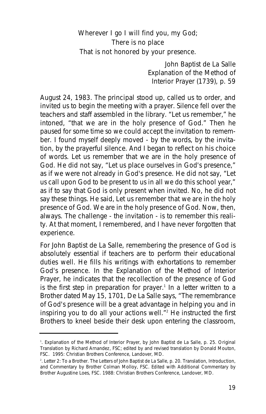#### *Wherever I go I will find you, my God; There is no place That is not honored by your presence.*

John Baptist de La Salle *Explanation of the Method of Interior Prayer* (1739), p. 59

August 24, 1983. The principal stood up, called us to order, and invited us to begin the meeting with a prayer. Silence fell over the teachers and staff assembled in the library. "Let us remember," he intoned, "that we are in the holy presence of God." Then he paused for some time so we could accept the invitation to remember. I found myself deeply moved - by the words, by the invitation, by the prayerful silence. And I began to reflect on his choice of words. *Let us remember that we are in the holy presence of God*. He did not say, "Let us *place ourselves* in God's presence," as if we were not already in God's presence. He did not say, "Let us *call upon God to be present* to us in all we do this school year," as if to say that God is only present when invited. No, he did not say these things. He said, *Let us remember that we are in the holy presence of God*. We are in the holy presence of God. Now, then, always. The challenge - the invitation - is to *remember* this reality. At that moment, I remembered, and I have never forgotten that experience.

For John Baptist de La Salle, remembering the presence of God is absolutely essential if teachers are to perform their educational duties well. He fills his writings with exhortations to remember God's presence. In the *Explanation of the Method of Interior Prayer*, he indicates that the recollection of the presence of God is the first step in preparation for prayer.<sup>1</sup> In a letter written to a Brother dated May 15, 1701, De La Salle says, "The remembrance of God's presence will be a great advantage in helping you and in inspiring you to do all your actions well."2 He instructed the first Brothers to kneel beside their desk upon entering the classroom,

<sup>1</sup> . *Explanation of the Method of Interior Prayer, by John Baptist de La Salle*, p. 25. Original Translation by Richard Arnandez, FSC; edited by and revised translation by Donald Mouton, FSC. 1995: Christian Brothers Conference, Landover, MD.

<sup>2</sup> . Letter 2: To a Brother. *The Letters of John Baptist de La Salle*, p. 20. Translation, Introduction, and Commentary by Brother Colman Molloy, FSC. Edited with Additional Commentary by Brother Augustine Loes, FSC. 1988: Christian Brothers Conference, Landover, MD.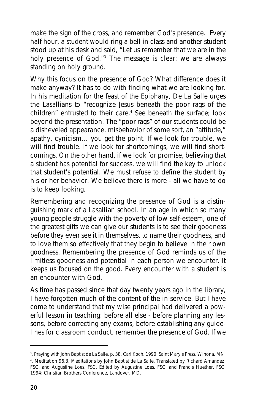make the sign of the cross, and remember God's presence. Every half hour, a student would ring a bell in class and another student stood up at his desk and said, "Let us remember that we are in the holy presence of God."<sup>3</sup> The message is clear: we are always standing on holy ground.

Why this focus on the presence of God? What difference does it make anyway? It has to do with finding what we are looking for. In his meditation for the feast of the Epiphany, De La Salle urges the Lasallians to "recognize Jesus beneath the poor rags of the children" entrusted to their care.<sup>4</sup> See beneath the surface; look beyond the presentation. The "poor rags" of our students could be a disheveled appearance, misbehavior of some sort, an "attitude," apathy, cynicism… you get the point. If we look for trouble, we will find trouble. If we look for shortcomings, we will find shortcomings. On the other hand, if we look for promise, believing that a student has potential for success, we will find the key to unlock that student's potential. We must refuse to define the student by his or her behavior. We believe there is more - all we have to do is to keep looking.

Remembering and recognizing the presence of God is a distinguishing mark of a Lasallian school. In an age in which so many young people struggle with the poverty of low self-esteem, one of the greatest gifts we can give our students is to see their goodness before they even see it in themselves, to name their goodness, and to love them so effectively that they begin to believe in their own goodness. Remembering the presence of God reminds us of the limitless goodness and potential in each person we encounter. It keeps us focused on the good. Every encounter with a student is an encounter with God.

As time has passed since that day twenty years ago in the library, I have forgotten much of the content of the in-service. But I have come to understand that my wise principal had delivered a powerful lesson in teaching: before all else - before planning any lessons, before correcting any exams, before establishing any guidelines for classroom conduct, *remember the presence of God*. If we

<sup>3</sup> . *Praying with John Baptist de La Salle*, p. 38. Carl Koch. 1990: Saint Mary's Press, Winona, MN.

<sup>4</sup> . Meditation 96.3. *Meditations by John Baptist de La Salle*. Translated by Richard Arnandez, FSC, and Augustine Loes, FSC. Edited by Augustine Loes, FSC, and Francis Huether, FSC. 1994: Christian Brothers Conference, Landover, MD.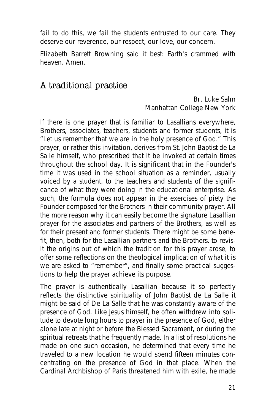fail to do this, we fail the students entrusted to our care. They deserve our reverence, our respect, our love, our concern.

Elizabeth Barrett Browning said it best: Earth's crammed with heaven. Amen.

#### A traditional practice

#### **Br. Luke Salm Manhattan College New York**

If there is one prayer that is familiar to Lasallians everywhere, Brothers, associates, teachers, students and former students, it is "Let us remember that we are in the holy presence of God." This prayer, or rather this invitation, derives from St. John Baptist de La Salle himself, who prescribed that it be invoked at certain times throughout the school day. It is significant that in the Founder's time it was used in the school situation as a reminder, usually voiced by a student, to the teachers and students of the significance of what they were doing in the educational enterprise. As such, the formula does not appear in the exercises of piety the Founder composed for the Brothers in their community prayer. All the more reason why it can easily become the signature Lasallian prayer for the associates and partners of the Brothers, as well as for their present and former students. There might be some benefit, then, both for the Lasallian partners and the Brothers. to revisit the origins out of which the tradition for this prayer arose, to offer some reflections on the theological implication of what it is we are asked to "remember", and finally some practical suggestions to help the prayer achieve its purpose.

The prayer is authentically Lasallian because it so perfectly reflects the distinctive spirituality of John Baptist de La Salle it might be said of De La Salle that he was constantly aware of the presence of God. Like Jesus himself, he often withdrew into solitude to devote long hours to prayer in the presence of God, either alone late at night or before the Blessed Sacrament, or during the spiritual retreats that he frequently made. In a list of resolutions he made on one such occasion, he determined that every time he traveled to a new location he would spend fifteen minutes concentrating on the presence of God in that place. When the Cardinal Archbishop of Paris threatened him with exile, he made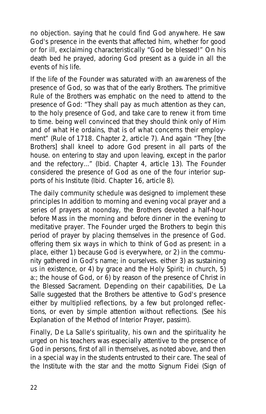no objection. saying that he could find God anywhere. He saw God's presence in the events that affected him, whether for good or for ill, exclaiming characteristically "God be blessed!" On his death bed he prayed, adoring God present as a guide in all the events of his life.

If the life of the Founder was saturated with an awareness of the presence of God, so was that of the early Brothers. The primitive Rule of the Brothers was emphatic on the need to attend to the presence of God: "They shall pay as much attention as they can, to the holy presence of God, and take care to renew it from time to time. being well convinced that they should think only of Him and of what He ordains, that is of what concerns their employment" (Rule of 1718. Chapter 2, article 7). And again "They [the Brothers] shall kneel to adore God present in all parts of the house. on entering to stay and upon leaving, except in the parlor and the refectory..." (Ibid. Chapter 4, article 13). The Founder considered the presence of God as one of the four interior supports of his Institute (Ibid. Chapter 16, article 8).

The daily community schedule was designed to implement these principles In addition to morning and evening vocal prayer and a series of prayers at noonday, the Brothers devoted a half-hour before Mass in the morning and before dinner in the evening to meditative prayer. The Founder urged the Brothers to begin this period of prayer by placing themselves in the presence of God. offering them six ways in which to think of God as present: in a place, either 1) because God is everywhere, or 2) in the community gathered in God's name; in ourselves. either 3) as sustaining us in existence, or 4) by grace and the Holy Spirit; in church, 5) a:; the house of God, or 6) by reason of the presence of Christ in the Blessed Sacrament. Depending on their capabilities, De La Salle suggested that the Brothers be attentive to God's presence either by multiplied reflections, by a few but prolonged reflections, or even by simple attention without reflections. (See his Explanation of the Method of Interior Prayer, passim).

Finally, De La Salle's spirituality, his own and the spirituality he urged on his teachers was especially attentive to the presence of God in persons, first of all in themselves, as noted above, and then in a special way in the students entrusted to their care. The seal of the Institute with the star and the motto Signum Fidei (Sign of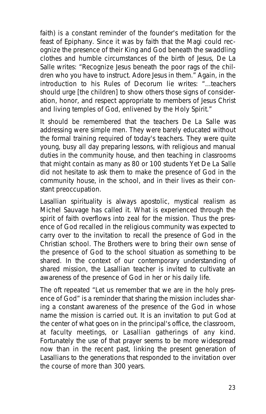faith) is a constant reminder of the founder's meditation for the feast of Epiphany. Since it was by faith that the Magi could recognize the presence of their King and God beneath the swaddling clothes and humble circumstances of the birth of Jesus, De La Salle writes: "Recognize Jesus beneath the poor rags of the children who you have to instruct. Adore Jesus in them." Again, in the introduction to his Rules of Decorum lie writes: "...teachers should urge [the children] to show others those signs of consideration, honor, and respect appropriate to members of Jesus Christ and living temples of God, enlivened by the Holy Spirit."

It should be remembered that the teachers De La Salle was addressing were simple men. They were barely educated without the formal training required of today's teachers. They were quite young, busy all day preparing lessons, with religious and manual duties in the community house, and then teaching in classrooms that might contain as many as 80 or 100 students Yet De La Salle did not hesitate to ask them to make the presence of God in the community house, in the school, and in their lives as their constant preoccupation.

Lasallian spirituality is always apostolic, mystical realism as Michel Sauvage has called it. What is experienced through the spirit of faith overflows into zeal for the mission. Thus the presence of God recalled in the religious community was expected to carry over to the invitation to recall the presence of God in the Christian school. The Brothers were to bring their own sense of the presence of God to the school situation as something to be shared. In the context of our contemporary understanding of shared mission, the Lasallian teacher is invited to cultivate an awareness of the presence of God in her or his daily life.

The oft repeated "Let us remember that we are in the holy presence of God" is a reminder that sharing the mission includes sharing a constant awareness of the presence of the God in whose name the mission is carried out. It is an invitation to put God at the center of what goes on in the principal's office, the classroom, at faculty meetings, or Lasallian gatherings of any kind. Fortunately the use of that prayer seems to be more widespread now than in the recent past, linking the present generation of Lasallians to the generations that responded to the invitation over the course of more than 300 years.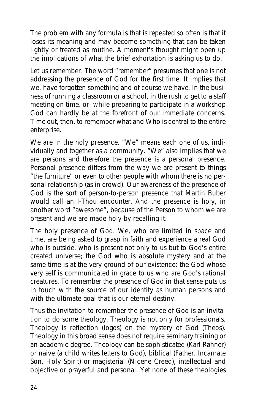The problem with any formula is that is repeated so often is that it loses its meaning and may become something that can be taken lightly or treated as routine. A moment's thought might open up the implications of what the brief exhortation is asking us to do.

Let us remember. The word "remember" presumes that one is not addressing the presence of God for the first time. It implies that we, have forgotten something and of course we have. In the business of running a classroom or a school, in the rush to get to a staff meeting on time. or- while preparing to participate in a workshop God can hardly be at the forefront of our immediate concerns. Time out, then, to remember what and Who is central to the entire enterprise.

**We are in the holy presence**. "We" means each one of us, individually and together as a community. "We" also implies that we are persons and therefore the presence is a personal presence. Personal presence differs from the way we are present to things "the furniture" or even to other people with whom there is no personal relationship (as in crowd). Our awareness of the presence of God is the sort of person-to-person presence that Martin Buber would call an I-Thou encounter. And the presence is holy, in another word "awesome", because of the Person to whom we are present and we are made holy by recalling it.

**The holy presence of God**. We, who are limited in space and time, are being asked to grasp in faith and experience a real God who is outside, who is present not only to us but to God's entire created universe; the God who is absolute mystery and at the same time is at the very ground of our existence: the God whose very self is communicated in grace to us who are God's rational creatures. To remember the presence of God in that sense puts us in touch with the source of our identity as human persons and with the ultimate goal that is our eternal destiny.

Thus the invitation to remember the presence of God is an invitation to do some theology. Theology is not only for professionals. Theology is reflection (logos) on the mystery of God (Theos). Theology in this broad sense does not require seminary training or an academic degree. Theology can be sophisticated (Karl Rahner) or naive (a child writes letters to God), biblical (Father. Incarnate Son, Holy Spirit) or magisterial (Nicene Creed), intellectual and objective or prayerful and personal. Yet none of these theologies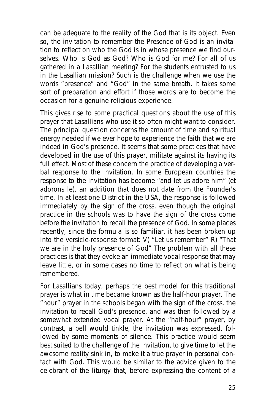can be adequate to the reality of the God that is its object. Even so, the invitation to remember the Presence of God is an invitation to reflect on who the God is in whose presence we find ourselves. Who is God as God? Who is God for me? For all of us gathered in a Lasallian meeting? For the students entrusted to us in the Lasallian mission? Such is the challenge when we use the words "presence" and "God" in the same breath. It takes some sort of preparation and effort if those words are to become the occasion for a genuine religious experience.

This gives rise to some practical questions about the use of this prayer that Lasallians who use it so often might want to consider. The principal question concerns the amount of time and spiritual energy needed if we ever hope to experience the faith that we are indeed in God's presence. It seems that some practices that have developed in the use of this prayer, militate against its having its full effect. Most of these concern the practice of developing a verbal response to the invitation. In some European countries the response to the invitation has become "and let us adore him" (et adorons le), an addition that does not date from the Founder's time. In at least one District in the USA, the response is followed immediately by the sign of the cross, even though the original practice in the schools was to have the sign of the cross come before the invitation to recall the presence of God. In some places recently, since the formula is so familiar, it has been broken up into the versicle-response format: V) "Let us remember" R) "That we are in the holy presence of God" The problem with all these practices is that they evoke an immediate vocal response that may leave little, or in some cases no time to reflect on what is being remembered.

For Lasallians today, perhaps the best model for this traditional prayer is what in time became known as the half-hour prayer. The "hour" prayer in the schools began with the sign of the cross, the invitation to recall God's presence, and was then followed by a somewhat extended vocal prayer. At the "half-hour" prayer, by contrast, a bell would tinkle, the invitation was expressed, followed by some moments of silence. This practice would seem best suited to the challenge of the invitation, to give time to let the awesome reality sink in, to make it a true prayer in personal contact with God. This would be similar to the advice given to the celebrant of the liturgy that, before expressing the content of a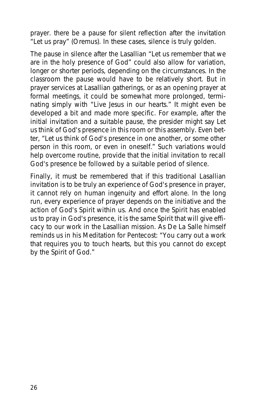prayer. there be a pause for silent reflection after the invitation "Let us pray" (Oremus). In these cases, silence is truly golden.

The pause in silence after the Lasallian "Let us remember that we are in the holy presence of God" could also allow for variation, longer or shorter periods, depending on the circumstances. In the classroom the pause would have to be relatively short. But in prayer services at Lasallian gatherings, or as an opening prayer at formal meetings, it could be somewhat more prolonged, terminating simply with "Live Jesus in our hearts." It might even be developed a bit and made more specific. For example, after the initial invitation and a suitable pause, the presider might say Let us think of God's presence in this room or this assembly. Even better, "Let us think of God's presence in one another, or some other person in this room, or even in oneself." Such variations would help overcome routine, provide that the initial invitation to recall God's presence be followed by a suitable period of silence.

Finally, it must be remembered that if this traditional Lasallian invitation is to be truly an experience of God's presence in prayer, it cannot rely on human ingenuity and effort alone. In the long run, every experience of prayer depends on the initiative and the action of God's Spirit within us. And once the Spirit has enabled us to pray in God's presence, it is the same Spirit that will give efficacy to our work in the Lasallian mission. As De La Salle himself reminds us in his Meditation for Pentecost: "You carry out a work that requires you to touch hearts, but this you cannot do except by the Spirit of God."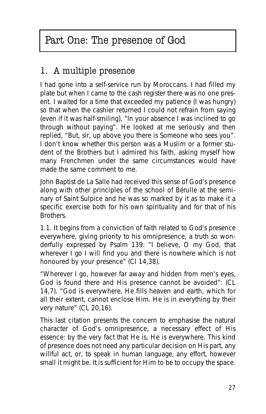# Part One: The presence of God

# 1. A multiple presence

I had gone into a self-service run by Moroccans. I had filled my plate but when I came to the cash register there was no one present. I waited for a time that exceeded my patience (I was hungry) so that when the cashier returned I could not refrain from saying (even if it was half-smiling), "In your absence I was inclined to go through without paying". He looked at me seriously and then replied, "But, sir, up above you there is Someone who sees you". I don't know whether this person was a Muslim or a former student of the Brothers but I admired his faith, asking myself how many Frenchmen under the same circumstances would have made the same comment to me.

John Baptist de La Salle had received this sense of God's presence along with other principles of the school of Bérulle at the seminary of Saint Sulpice and he was so marked by it as to make it a specific exercise both for his own spirituality and for that of his **Brothers** 

1.1. It begins from a conviction of faith related to God's presence everywhere, giving priority to his omnipresence, a truth so wonderfully expressed by Psalm 139: "I believe, O my God, that wherever I go I will find you and there is nowhere which is not honoured by your presence" (CI 14,38).

"Wherever I go, however far away and hidden from men's eyes, God is found there and His presence cannot be avoided": (CL 14,7). "God is everywhere, He fills heaven and earth, which for all their extent, cannot enclose Him. He is in everything by their very nature" (CL 20,16).

This last citation presents the concern to emphasise the natural character of God's omnipresence, a necessary effect of His essence: by the very fact that He is, He is everywhere. This kind of presence does not need any particular decision on His part, any willful act, or, to speak in human language, any effort, however small it might be. It is sufficient for Him **to be** to occupy the space.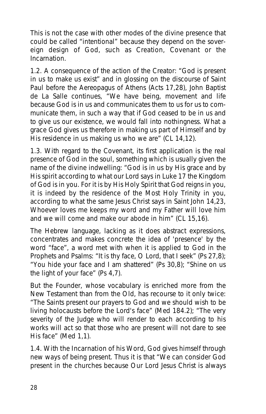This is not the case with other modes of the divine presence that could be called "intentional" because they depend on the sovereign design of God, such as Creation, Covenant or the Incarnation.

1.2. A consequence of the action of the Creator: "God is present in us to make us exist" and in glossing on the discourse of Saint Paul before the Aereopagus of Athens (Acts 17,28), John Baptist de La Salle continues, "We have being, movement and life because God is in us and communicates them to us for us to communicate them, in such a way that if God ceased to be in us and to give us our existence, we would fall into nothingness. What a grace God gives us therefore in making us part of Himself and by His residence in us making us who we are" (CL 14,12).

1.3. With regard to the Covenant, its first application is the real presence of God in the soul, something which is usually given the name of the divine indwelling: "God is in us by His grace and by His spirit according to what our Lord says in Luke 17 the Kingdom of God is in you. For it is by His Holy Spirit that God reigns in you, it is indeed by the residence of the Most Holy Trinity in you, according to what the same Jesus Christ says in Saint John 14,23, Whoever loves me keeps my word and my Father will love him and we will come and make our abode in him" (CL 15,16).

The Hebrew language, lacking as it does abstract expressions, concentrates and makes concrete the idea of 'presence' by the word "face", a word met with when it is applied to God in the Prophets and Psalms: "It is thy face, O Lord, that I seek" (Ps 27,8); "You hide your face and I am shattered" (Ps 30,8); "Shine on us the light of your face" (Ps 4,7).

But the Founder, whose vocabulary is enriched more from the New Testament than from the Old, has recourse to it only twice: "The Saints present our prayers to God and we should wish to be living holocausts before the Lord's face" (Med 184.2); "The very severity of the Judge who will render to each according to his works will act so that those who are present will not dare to see His face" (Med 1,1).

1.4. With **the Incarnation of his Word**, God gives himself through new ways of being present. Thus it is that "We can consider God present in the churches because Our Lord Jesus Christ is always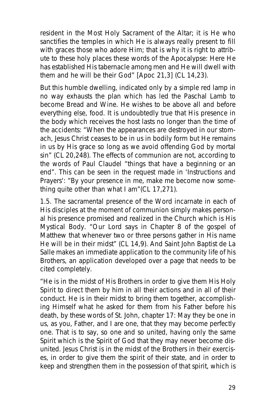resident in the Most Holy Sacrament of the Altar; it is He who sanctifies the temples in which He is always really present to fill with graces those who adore Him; that is why it is right to attribute to these holy places these words of the Apocalypse: Here He has established His tabernacle among men and He will dwell with them and he will be their God" [Apoc 21,3] (CL 14,23).

But this humble dwelling, indicated only by a simple red lamp in no way exhausts the plan which has led the Paschal Lamb to become Bread and Wine. He wishes to be above all and before everything else, food. It is undoubtedly true that His presence in the body which receives the host lasts no longer than the time of the accidents: "When the appearances are destroyed in our stomach, Jesus Christ ceases to be in us in bodily form but He remains in us by His grace so long as we avoid offending God by mortal sin" (CL 20,248). The effects of communion are not, according to the words of Paul Claudel "things that have a beginning or an end". This can be seen in the request made in 'Instructions and Prayers': "By your presence in me, make me become now something quite other than what I am"(CL 17,271).

1.5. The sacramental presence of the Word incarnate in each of His disciples at the moment of communion simply makes personal his presence promised and realized in the Church which is His Mystical Body. "Our Lord says in Chapter 8 of the gospel of Matthew that whenever two or three persons gather in His name He will be in their midst" (CL 14,9). And Saint John Baptist de La Salle makes an immediate application to the community life of his Brothers, an application developed over a page that needs to be cited completely.

"He is in the midst of His Brothers in order to give them His Holy Spirit to direct them by him in all their actions and in all of their conduct. He is in their midst to bring them together, accomplishing Himself what he asked for them from his Father before his death, by these words of St. John, chapter 17: May they be one in us, as you, Father, and I are one, that they may become perfectly one. That is to say, so one and so united, having only the same Spirit which is the Spirit of God that they may never become disunited. Jesus Christ is in the midst of the Brothers in their exercises, in order to give them the spirit of their state, and in order to keep and strengthen them in the possession of that spirit, which is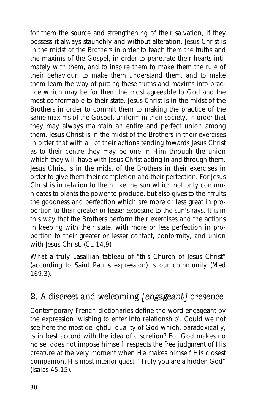for them the source and strengthening of their salvation, if they possess it always staunchly and without alteration. Jesus Christ is in the midst of the Brothers in order to teach them the truths and the maxims of the Gospel, in order to penetrate their hearts intimately with them, and to inspire them to make them the rule of their behaviour, to make them understand them, and to make them learn the way of putting these truths and maxims into practice which may be for them the most agreeable to God and the most conformable to their state. Jesus Christ is in the midst of the Brothers in order to commit them to making the practice of the same maxims of the Gospel, uniform in their society, in order that they may always maintain an entire and perfect union among them. Jesus Christ is in the midst of the Brothers in their exercises in order that with all of their actions tending towards Jesus Christ as to their centre they may be one in Him through the union which they will have with Jesus Christ acting in and through them. Jesus Christ is in the midst of the Brothers in their exercises in order to give them their completion and their perfection. For Jesus Christ is in relation to them like the sun which not only communicates to plants the power to produce, but also gives to their fruits the goodness and perfection which are more or less great in proportion to their greater or lesser exposure to the sun's rays. It is in this way that the Brothers perform their exercises and the actions in keeping with their state, with more or less perfection in proportion to their greater or lesser contact, conformity, and union with Jesus Christ. (CL 14,9)

What a truly Lasallian tableau of "this Church of Jesus Christ" (according to Saint Paul's expression) is our community (Med 169.3).

# 2. A discreet and welcoming [engageant] presence

Contemporary French dictionaries define the word *engageant* by the expression 'wishing to enter into relationship'. Could we not see here the most delightful quality of God which, paradoxically, is in best accord with the idea of discretion? For God makes no noise, does not impose himself, respects the free judgment of His creature at the very moment when He makes himself His closest companion, His most interior guest: "Truly you are a hidden God" (Isaias 45,15).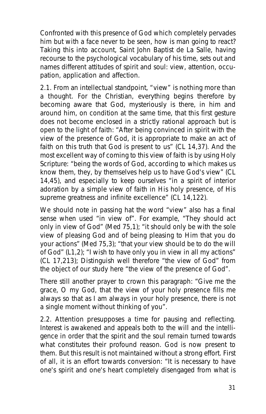Confronted with this presence of God which completely pervades him but with a face never to be seen, how is man going to react? Taking this into account, Saint John Baptist de La Salle, having recourse to the psychological vocabulary of his time, sets out and names different attitudes of spirit and soul: view, attention, occupation, application and affection.

2.1. From an intellectual standpoint, **"view" is nothing more than a thought**. For the Christian, everything begins therefore by becoming aware that God, mysteriously is there, in him and around him, on condition at the same time, that this first gesture does not become enclosed in a strictly rational approach but is open to the light of faith: "After being convinced in spirit with the view of the presence of God, it is appropriate to make an act of faith on this truth that God is present to us" (CL 14,37). And the most excellent way of coming to this view of faith is by using Holy Scripture: "being the words of God, according to which makes us know them, they, by themselves help us to have God's view" (CL 14,45), and especially to keep ourselves "in a spirit of interior adoration by a simple view of faith in His holy presence, of His supreme greatness and infinite excellence" (CL 14,122).

We should note in passing hat the word "view" also has a final sense when used "in view of". For example, "They should act only in view of God" (Med 75,1); "it should only be with the sole view of pleasing God and of being pleasing to Him that you do your actions" (Med 75,3); "that your view should be to do the will of God" (L1,2); "I wish to have only you in view in all my actions" (CL 17,213); Distinguish well therefore "the view of God" from the object of our study here "the view of the presence of God".

There still another prayer to crown this paragraph: "Give me the grace, O my God, that the view of your holy presence fills me always so that as I am always in your holy presence, there is not a single moment without thinking of you".

2.2. **Attention presupposes a time for pausing and reflecting**. Interest is awakened and appeals both to the will and the intelligence in order that the spirit and the soul remain turned towards what constitutes their profound reason. God is now present to them. But this result is not maintained without a strong effort. First of all, it is an effort towards conversion: "It is necessary to have one's spirit and one's heart completely disengaged from what is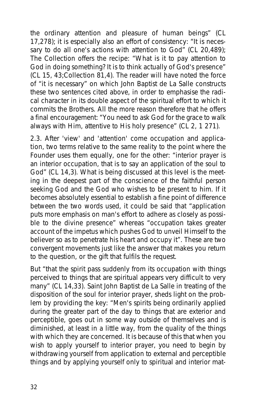the ordinary attention and pleasure of human beings" (CL 17,278); it is especially also an effort of consistency: "It is necessary to do all one's actions with attention to God" (CL 20,489); The Collection offers the recipe: "What is it to pay attention to God in doing something? It is to think actually of God's presence" (CL 15, 43;Collection 81,4). The reader will have noted the force of "it is necessary" on which John Baptist de La Salle constructs these two sentences cited above, in order to emphasise the radical character in its double aspect of the spiritual effort to which it commits the Brothers. All the more reason therefore that he offers a final encouragement: "You need to ask God for the grace to walk always with Him, attentive to His holy presence" (CL 2, 1 271).

2.3. After 'view' and 'attention' come **occupation and application**, two terms relative to the same reality to the point where the Founder uses them equally, one for the other: "interior prayer is an interior occupation, that is to say an application of the soul to God" (CL 14,3). What is being discussed at this level is the meeting in the deepest part of the conscience of the faithful person seeking God and the God who wishes to be present to him. If it becomes absolutely essential to establish a fine point of difference between the two words used, it could be said that "application puts more emphasis on man's effort to adhere as closely as possible to the divine presence" whereas "occupation takes greater account of the impetus which pushes God to unveil Himself to the believer so as to penetrate his heart and occupy it". These are two convergent movements just like the answer that makes you return to the question, or the gift that fulfils the request.

But "that the spirit pass suddenly from its occupation with things perceived to things that are spiritual appears very difficult to very many" (CL 14,33). Saint John Baptist de La Salle in treating of the disposition of the soul for interior prayer, sheds light on the problem by providing the key: "Men's spirits being ordinarily applied during the greater part of the day to things that are exterior and perceptible, goes out in some way outside of themselves and is diminished, at least in a little way, from the quality of the things with which they are concerned. It is because of this that when you wish to apply yourself to interior prayer, you need to begin by withdrawing yourself from application to external and perceptible things and by applying yourself only to spiritual and interior mat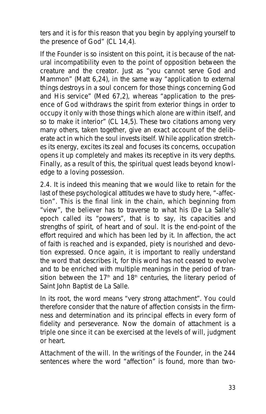ters and it is for this reason that you begin by applying yourself to the presence of God" (CL 14,4).

If the Founder is so insistent on this point, it is because of the natural incompatibility even to the point of opposition between the creature and the creator. Just as "you cannot serve God and Mammon" (Matt 6,24), in the same way "application to external things destroys in a soul concern for those things concerning God and His service" (Med 67,2), whereas "application to the presence of God withdraws the spirit from exterior things in order to occupy it only with those things which alone are within itself, and so to make it interior" (CL 14,5). These two citations among very many others, taken together, give an exact account of the deliberate act in which the soul invests itself. While application stretches its energy, excites its zeal and focuses its concerns, occupation opens it up completely and makes its receptive in its very depths. Finally, as a result of this, the spiritual quest leads beyond knowledge to a loving possession.

2.4. It is indeed this meaning that we would like to retain for the last of these psychological attitudes we have to study here, "-**affection"**. This is the final link in the chain, which beginning from "view", the believer has to traverse to what his (De La Salle's) epoch called its "powers", that is to say, its capacities and strengths of spirit, of heart and of soul. It is the end-point of the effort required and which has been led by it. In affection, the act of faith is reached and is expanded, piety is nourished and devotion expressed. Once again, it is important to really understand the word that describes it, for this word has not ceased to evolve and to be enriched with multiple meanings in the period of transition between the 17<sup>th</sup> and 18<sup>th</sup> centuries, the literary period of Saint John Baptist de La Salle.

In its root, the word means "very strong attachment". You could therefore consider that the nature of affection consists in the firmness and determination and its principal effects in every form of fidelity and perseverance. Now the domain of attachment is a triple one since it can be exercised at the levels of will, judgment or heart.

**Attachment of the will**. In the writings of the Founder, in the 244 sentences where the word "affection" is found, more than two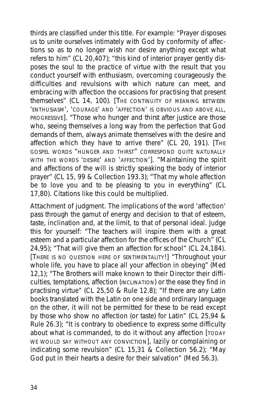thirds are classified under this title. For example: "Prayer disposes us to unite ourselves intimately with God by conformity of affections so as to no longer wish nor desire anything except what refers to him" (CL 20,407); "this kind of interior prayer gently disposes the soul to the practice of virtue with the result that you conduct yourself with enthusiasm, overcoming courageously the difficulties and revulsions with which nature can meet, and embracing with affection the occasions for practising that present themselves" (CL 14, 100). [THE CONTINUITY OF MEANING BETWEEN 'ENTHUSIASM', 'COURAGE' AND 'AFFECTION' IS OBVIOUS AND ABOVE ALL, PROGRESSIVE]. "Those who hunger and thirst after justice are those who, seeing themselves a long way from the perfection that God demands of them, always animate themselves with the desire and affection which they have to arrive there" (CL 20, 191). [THE GOSPEL WORDS "HUNGER AND THIRST" CORRESPOND QUITE NATURALLY WITH THE WORDS 'DESIRE' AND 'AFFECTION']. "Maintaining the spirit and affections of the will is strictly speaking the body of interior prayer" (CL 15, 99 & Collection 193.3); "That my whole affection be to love you and to be pleasing to you in everything" (CL 17,80). Citations like this could be multiplied.

**Attachment of judgment**. The implications of the word 'affection' pass through the gamut of energy and decision to that of esteem, taste, inclination and, at the limit, to that of personal ideal. Judge this for yourself: "The teachers will inspire them with a great esteem and a particular affection for the offices of the Church" (CL 24,95); "That will give them an affection for school" (CL 24,184). [THERE IS NO QUESTION HERE OF SENTIMENTALITY!] "Throughout your whole life, you have to place all your affection in obeying" (Med 12,1); "The Brothers will make known to their Director their difficulties, temptations, affection (INCLINATION) or the ease they find in practising virtue" (CL 25,50 & Rule 12.8); "If there are any Latin books translated with the Latin on one side and ordinary language on the other, it will not be permitted for these to be read except by those who show no affection (or taste) for Latin" (CL 25,94 & Rule 26.3); "It is contrary to obedience to express some difficulty about what is commanded, to do it without any affection [TODAY WE WOULD SAY WITHOUT ANY CONVICTION], lazily or complaining or indicating some revulsion" (CL 15,31 & Collection 56.2); "May God put in their hearts a desire for their salvation" (Med 56.3).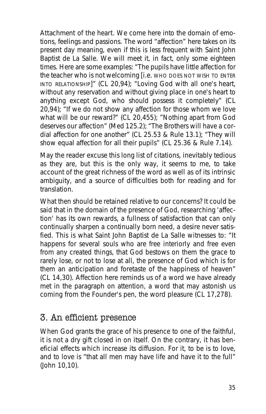**Attachment of the heart**. We come here into the domain of emotions, feelings and passions. The word "affection" here takes on its present day meaning, even if this is less frequent with Saint John Baptist de La Salle. We will meet it, in fact, only some eighteen times. Here are some examples: "The pupils have little affection for the teacher who is not welcoming [i.e. WHO DOES NOT WISH TO ENTER INTO RELATIONSHIP]" (CL 20,94); "Loving God with all one's heart, without any reservation and without giving place in one's heart to anything except God, who should possess it completely" (CL 20,94); "If we do not show any affection for those whom we love what will be our reward?" (CL 20,455); "Nothing apart from God deserves our affection" (Med 125.2); "The Brothers will have a cordial affection for one another" (CL 25.53 & Rule 13.1); "They will show equal affection for all their pupils" (CL 25.36 & Rule 7.14).

May the reader excuse this long list of citations, inevitably tedious as they are, but this is the only way, it seems to me, to take account of the great richness of the word as well as of its intrinsic ambiguity, and a source of difficulties both for reading and for translation.

What then should be retained relative to our concerns? It could be said that in the domain of the presence of God, researching 'affection' has its own rewards, a fullness of satisfaction that can only continually sharpen a continually born need, a desire never satisfied. This is what Saint John Baptist de La Salle witnesses to: "It happens for several souls who are free interiorly and free even from any created things, that God bestows on them the grace to rarely lose, or not to lose at all, the presence of God which is for them an anticipation and foretaste of the happiness of heaven" (CL 14,30). *Affection* here reminds us of a word we have already met in the paragraph on *attention*, a word that may astonish us coming from the Founder's pen, the word *pleasure* (CL 17,278).

#### 3. An efficient presence

When God grants the grace of his presence to one of the faithful, it is not a dry gift closed in on itself. On the contrary, it has beneficial effects which increase its diffusion. For it, to be is to love, and to love is "that all men may have life and have it to the full" (John 10,10).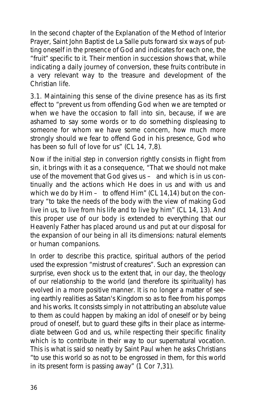In the second chapter of the Explanation of the Method of Interior Prayer, Saint John Baptist de La Salle puts forward six ways of putting oneself in the presence of God and indicates for each one, the "fruit" specific to it. Their mention in succession shows that, while indicating a daily journey of conversion, these fruits contribute in a very relevant way to the treasure and development of the Christian life.

3.1. Maintaining this sense of the divine presence has as its first effect to "prevent us from offending God when we are tempted or when we have the occasion to fall into sin, because, if we are ashamed to say some words or to do something displeasing to someone for whom we have some concern, how much more strongly should we fear to offend God in his presence, God who has been so full of love for us" (CL 14, 7,8).

Now if the initial step in conversion rightly consists in flight from sin, it brings with it as a consequence, "That we should not make use of the movement that God gives  $us -$  and which is in us continually and the actions which He does in us and with us and which we do by  $\text{Him} - \text{to offend Him}$ " (CL 14,14) but on the contrary "to take the needs of the body with the view of making God live in us, to live from his life and to live by him" (CL 14, 13). And this proper use of our body is extended to everything that our Heavenly Father has placed around us and put at our disposal for the expansion of our being in all its dimensions: natural elements or human companions.

In order to describe this practice, spiritual authors of the period used the expression "mistrust of creatures". Such an expression can surprise, even shock us to the extent that, in our day, the theology of our relationship to the world (and therefore its spirituality) has evolved in a more positive manner. It is no longer a matter of seeing earthly realities as Satan's Kingdom so as to flee from his pomps and his works. It consists simply in not attributing an absolute value to them as could happen by making an idol of oneself or by being proud of oneself, but to guard these gifts in their place as intermediate between God and us, while respecting their specific finality which is to contribute in their way to our supernatural vocation. This is what is said so neatly by Saint Paul when he asks Christians "to use this world so as not to be engrossed in them, for this world in its present form is passing away" (1 Cor 7,31).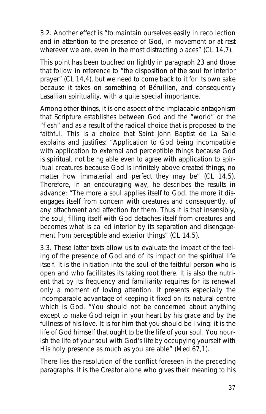3.2. Another effect is "to maintain ourselves easily in recollection and in attention to the presence of God, in movement or at rest wherever we are, even in the most distracting places" (CL 14.7).

This point has been touched on lightly in paragraph 23 and those that follow in reference to "the disposition of the soul for interior prayer" (CL 14,4), but we need to come back to it for its own sake because it takes on something of Bérullian, and consequently Lasallian spirituality, with a quite special importance.

Among other things, it is one aspect of the implacable antagonism that Scripture establishes between God and the "world" or the "flesh" and as a result of the radical choice that is proposed to the faithful. This is a choice that Saint John Baptist de La Salle explains and justifies: "Application to God being incompatible with application to external and perceptible things because God is spiritual, not being able even to agree with application to spiritual creatures because God is infinitely above created things, no matter how immaterial and perfect they may be" (CL 14,5). Therefore, in an encouraging way, he describes the results in advance: "The more a soul applies itself to God, the more it disengages itself from concern with creatures and consequently, of any attachment and affection for them. Thus it is that insensibly, the soul, filling itself with God detaches itself from creatures and becomes what is called interior by its separation and disengagement from perceptible and exterior things" (CL 14.5).

3.3. These latter texts allow us to evaluate the impact of the feeling of the presence of God and of its impact on the spiritual life itself. It is the initiation into the soul of the faithful person who is open and who facilitates its taking root there. It is also the nutrient that by its frequency and familiarity requires for its renewal only a moment of loving attention. It presents especially the incomparable advantage of **keeping it fixed on its natural centre which is God**. "You should not be concerned about anything except to make God reign in your heart by his grace and by the fullness of his love. It is for him that you should be living: it is the life of God himself that ought to be the life of your soul. You nourish the life of your soul with God's life by occupying yourself with His holy presence as much as you are able" (Med 67,1).

There lies the resolution of the conflict foreseen in the preceding paragraphs. It is the Creator alone who gives their meaning to his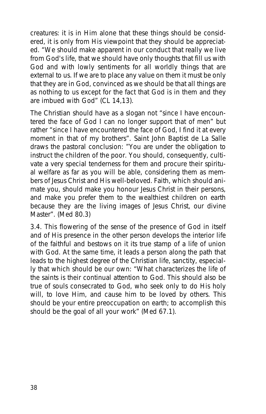creatures: it is in Him alone that these things should be considered, it is only from His viewpoint that they should be appreciated. "We should make apparent in our conduct that really we live from God's life, that we should have only thoughts that fill us with God and with lowly sentiments for all worldly things that are external to us. If we are to place any value on them it must be only that they are in God, convinced as we should be that all things are as nothing to us except for the fact that God is in them and they are imbued with God" (CL 14,13).

The Christian should have as a slogan not "since I have encountered the face of God I can no longer support that of men" but rather "since I have encountered the face of God, I find it at every moment in that of my brothers". Saint John Baptist de La Salle draws the pastoral conclusion: "You are under the obligation to instruct the children of the poor. You should, consequently, cultivate a very special tenderness for them and procure their spiritual welfare as far as you will be able, considering them as members of Jesus Christ and His well-beloved. Faith, which should animate you, should make you honour Jesus Christ in their persons, and make you prefer them to the wealthiest children on earth because they are the living images of Jesus Christ, our divine Master". (Med 80.3)

3.4. This flowering of the sense of the presence of God in itself and of His presence in the other person develops the interior life of the faithful and bestows on it its true stamp of a life of union with God. At the same time, it leads a person along the path that leads to the highest degree of the Christian life, sanctity, especially that which should be our own: "What characterizes the life of the saints is their continual attention to God. This should also be true of souls consecrated to God, who seek only to do His holy will, to love Him, and cause him to be loved by others. This should be your entire preoccupation on earth; to accomplish this should be the goal of all your work" (Med 67.1).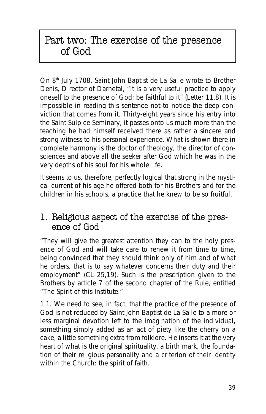# Part two: The exercise of the presence of God

On 8<sup>th</sup> July 1708, Saint John Baptist de La Salle wrote to Brother Denis, Director of Darnetal, "it is a very useful practice to apply oneself to the presence of God; be faithful to it" (Letter 11.8). It is impossible in reading this sentence not to notice the deep conviction that comes from it. Thirty-eight years since his entry into the Saint Sulpice Seminary, it passes onto us much more than the teaching he had himself received there as rather a sincere and strong witness to his personal experience. What is shown there in complete harmony is the doctor of theology, the director of consciences and above all the seeker after God which he was in the very depths of his soul for his whole life.

It seems to us, therefore, perfectly logical that strong in the mystical current of his age he offered both for his Brothers and for the children in his schools, a practice that he knew to be so fruitful.

### 1. Religious aspect of the exercise of the presence of God

"They will give the greatest attention they can to the holy presence of God and will take care to renew it from time to time, being convinced that they should think only of him and of what he orders, that is to say whatever concerns their duty and their employment" (CL 25,19). Such is the prescription given to the Brothers by article 7 of the second chapter of the Rule, entitled "The Spirit of this Institute."

1.1. We need to see, in fact, that the practice of the presence of God is not reduced by Saint John Baptist de La Salle to a more or less marginal devotion left to the imagination of the individual, something simply added as an act of piety like the cherry on a cake, a little something extra from folklore. He inserts it at the very heart of what is the original spirituality, a birth mark, the foundation of their religious personality and a criterion of their identity within the Church: the spirit of faith.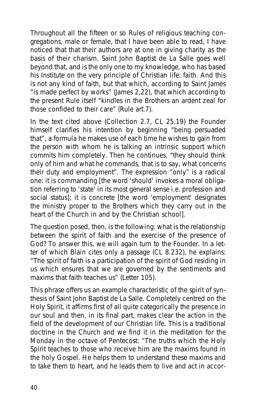Throughout all the fifteen or so Rules of religious teaching congregations, male or female, that I have been able to read, I have noticed that that their authors are at one in giving charity as the basis of their charism. Saint John Baptist de La Salle goes well beyond that, and is the only one to my knowledge, who has based his Institute on the very principle of Christian life: faith. And this is not any kind of faith, but that which, according to Saint James "is made perfect by works" (James 2,22), that which according to the present Rule itself "kindles in the Brothers an ardent zeal for those confided to their care" (Rule art.7).

In the text cited above (Collection 2.7, CL 25.19) the Founder himself clarifies his intention by beginning "being persuaded that", a formula he makes use of each time he wishes to gain from the person with whom he is talking an intrinsic support which commits him completely. Then he continues, "they should think only of him and what he commands, that is to say, what concerns their duty and employment". The expression "only" is a radical one: it is commanding [the word 'should' invokes a moral obligation referring to 'state' in its most general sense i.e. profession and social status]; it is concrete [the word 'employment' designates the ministry proper to the Brothers which they carry out in the heart of the Church in and by the Christian school].

The question posed, then, is the following: what is the relationship between the spirit of faith and the exercise of the presence of God? To answer this, we will again turn to the Founder. In a letter of which Blain cites only a passage (CL 8.232), he explains: "The spirit of faith is a participation of the spirit of God residing in us which ensures that we are governed by the sentiments and maxims that faith teaches us" (Letter 105).

This phrase offers us an example characteristic of the spirit of synthesis of Saint John Baptist de La Salle. Completely centred on the Holy Spirit, it affirms first of all quite categorically the presence in our soul and then, in its final part, makes clear the action in the field of the development of our Christian life. This is a traditional doctrine in the Church and we find it in the meditation for the Monday in the octave of Pentecost: "The truths which the Holy Spirit teaches to those who receive him are the maxims found in the holy Gospel. He helps them to understand these maxims and to take them to heart, and he leads them to live and act in accor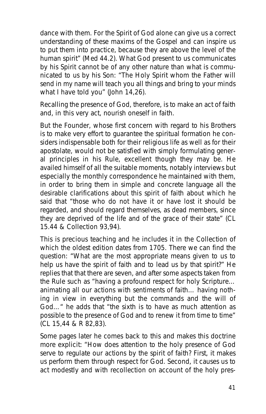dance with them. For the Spirit of God alone can give us a correct understanding of these maxims of the Gospel and can inspire us to put them into practice, because they are above the level of the human spirit" (Med 44.2). What God present to us communicates by his Spirit cannot be of any other nature than what is communicated to us by his Son: "The Holy Spirit whom the Father will send in my name will teach you all things and bring to your minds what I have told you" (John 14,26).

Recalling the presence of God, therefore, is to make an act of faith and, in this very act, nourish oneself in faith.

But the Founder, whose first concern with regard to his Brothers is to make very effort to guarantee the spiritual formation he considers indispensable both for their religious life as well as for their apostolate, would not be satisfied with simply formulating general principles in his Rule, excellent though they may be. He availed himself of all the suitable moments, notably interviews but especially the monthly correspondence he maintained with them, in order to bring them in simple and concrete language all the desirable clarifications about this spirit of faith about which he said that "those who do not have it or have lost it should be regarded, and should regard themselves, as dead members, since they are deprived of the life and of the grace of their state" (CL 15.44 & Collection 93,94).

This is precious teaching and he includes it in the Collection of which the oldest edition dates from 1705. There we can find the question: "What are the most appropriate means given to us to help us have the spirit of faith and to lead us by that spirit?" He replies that that there are seven, and after some aspects taken from the Rule such as "having a profound respect for holy Scripture… animating all our actions with sentiments of faith… having nothing in view in everything but the commands and the will of God…" he adds that "the sixth is to have as much attention as possible to the presence of God and to renew it from time to time" (CL 15,44 & R 82,83).

Some pages later he comes back to this and makes this doctrine more explicit: "*How does attention to the holy presence of God serve to regulate our actions by the spirit of faith?* First, it makes us perform them through respect for God. Second, it causes us to act modestly and with recollection on account of the holy pres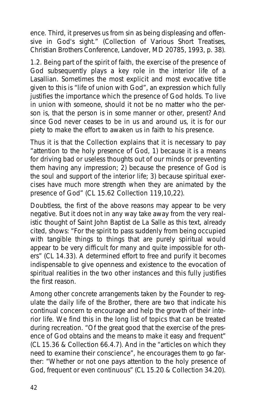ence. Third, it preserves us from sin as being displeasing and offensive in God's sight." (*Collection of Various Short Treatises*, Christian Brothers Conference, Landover, MD 20785, 1993, p. 38).

1.2. Being part of the spirit of faith, the exercise of the presence of God subsequently plays a key role in the interior life of a Lasallian. Sometimes the most explicit and most evocative title given to this is "life of union with God", an expression which fully justifies the importance which the presence of God holds. To live in union with someone, should it not be no matter who the person is, that the person is in some manner or other, present? And since God never ceases to be in us and around us, it is for our piety to make the effort to awaken us in faith to his presence.

Thus it is that the Collection explains that it is necessary to pay "attention to the holy presence of God, 1) because it is a means for driving bad or useless thoughts out of our minds or preventing them having any impression; 2) because the presence of God is the soul and support of the interior life; 3) because spiritual exercises have much more strength when they are animated by the presence of God" (CL 15.62 Collection 119,10,22).

Doubtless, the first of the above reasons may appear to be very negative. But it does not in any way take away from the very realistic thought of Saint John Baptist de La Salle as this text, already cited, shows: "For the spirit to pass suddenly from being occupied with tangible things to things that are purely spiritual would appear to be very difficult for many and quite impossible for others" (CL 14.33). A determined effort to free and purify it becomes indispensable to give openness and existence to the evocation of spiritual realities in the two other instances and this fully justifies the first reason.

Among other concrete arrangements taken by the Founder to regulate the daily life of the Brother, there are two that indicate his continual concern to encourage and help the growth of their interior life. We find this in the long list of topics that can be treated during recreation. "Of the great good that the exercise of the presence of God obtains and the means to make it easy and frequent" (CL 15.36 & Collection 66.4.7). And in the "articles on which they need to examine their conscience", he encourages them to go farther: "Whether or not one pays attention to the holy presence of God, frequent or even continuous" (CL 15.20 & Collection 34.20).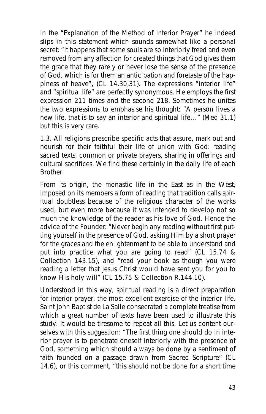In the "Explanation of the Method of Interior Prayer" he indeed slips in this statement which sounds somewhat like a personal secret: "It happens that some souls are so interiorly freed and even removed from any affection for created things that God gives them the grace that they rarely or never lose the sense of the presence of God, which is for them an anticipation and foretaste of the happiness of heave", (CL 14.30,31). The expressions "interior life" and "spiritual life" are perfectly synonymous. He employs the first expression 211 times and the second 218. Sometimes he unites the two expressions to emphasise his thought: "A person lives a new life, that is to say an interior and spiritual life…" (Med 31.1) but this is very rare.

1.3. All religions prescribe specific acts that assure, mark out and nourish for their faithful their life of union with God: reading sacred texts, common or private prayers, sharing in offerings and cultural sacrifices. We find these certainly in the daily life of each Brother.

From its origin, the monastic life in the East as in the West. imposed on its members a form of reading that tradition calls spiritual doubtless because of the religious character of the works used, but even more because it was intended to develop not so much the knowledge of the reader as his love of God. Hence the advice of the Founder: "Never begin any reading without first putting yourself in the presence of God, asking Him by a short prayer for the graces and the enlightenment to be able to understand and put into practice what you are going to read" (CL 15.74 & Collection 143.15), and "read your book as though you were reading a letter that Jesus Christ would have sent you for you to know His holy will" (CL 15.75 & Collection R.144.10).

Understood in this way, spiritual reading is a direct preparation for interior prayer, the most excellent exercise of the interior life. Saint John Baptist de La Salle consecrated a complete treatise from which a great number of texts have been used to illustrate this study. It would be tiresome to repeat all this. Let us content ourselves with this suggestion: "The first thing one should do in interior prayer is to penetrate oneself interiorly with the presence of God, something which should always be done by a sentiment of faith founded on a passage drawn from Sacred Scripture" (CL 14.6), or this comment, "this should not be done for a short time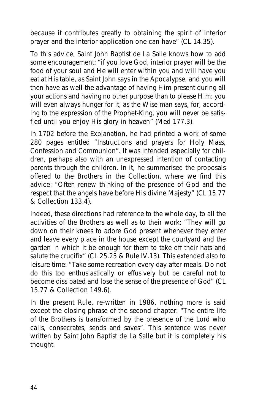because it contributes greatly to obtaining the spirit of interior prayer and the interior application one can have" (CL 14.35).

To this advice, Saint John Baptist de La Salle knows how to add some encouragement: "if you love God, interior prayer will be the food of your soul and He will enter within you and will have you eat at His table, as Saint John says in the Apocalypse, and you will then have as well the advantage of having Him present during all your actions and having no other purpose than to please Him; you will even always hunger for it, as the Wise man says, for, according to the expression of the Prophet-King, you will never be satisfied until you enjoy His glory in heaven" (Med 177.3).

In 1702 before the Explanation, he had printed a work of some 280 pages entitled "Instructions and prayers for Holy Mass, Confession and Communion". It was intended especially for children, perhaps also with an unexpressed intention of contacting parents through the children. In it, he summarised the proposals offered to the Brothers in the Collection, where we find this advice: "Often renew thinking of the presence of God and the respect that the angels have before His divine Majesty" (CL 15.77 & Collection 133.4).

Indeed, these directions had reference to the whole day, to all the activities of the Brothers as well as to their work: "They will go down on their knees to adore God present whenever they enter and leave every place in the house except the courtyard and the garden in which it be enough for them to take off their hats and salute the crucifix" (CL 25.25 & Rule IV.13). This extended also to leisure time: "Take some recreation every day after meals. Do not do this too enthusiastically or effusively but be careful not to become dissipated and lose the sense of the presence of God" (CL 15.77 & Collection 149.6).

In the present Rule, re-written in 1986, nothing more is said except the closing phrase of the second chapter: "The entire life of the Brothers is transformed by the presence of the Lord who calls, consecrates, sends and saves". This sentence was never written by Saint John Baptist de La Salle but it is completely his thought.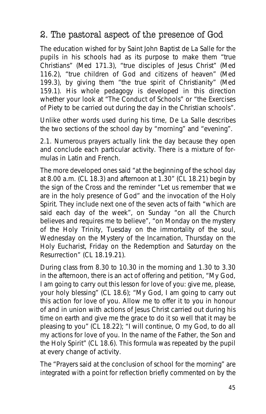# 2. The pastoral aspect of the presence of God

The education wished for by Saint John Baptist de La Salle for the pupils in his schools had as its purpose to make them "true Christians" (Med 171.3), "true disciples of Jesus Christ" (Med 116.2), "true children of God and citizens of heaven" (Med 199.3), by giving them "the true spirit of Christianity" (Med 159.1). His whole pedagogy is developed in this direction whether your look at "The Conduct of Schools" or "the Exercises of Piety to be carried out during the day in the Christian schools".

Unlike other words used during his time, De La Salle describes the two sections of the school day by "morning" and "evening".

2.1. Numerous prayers actually link the day because they open and conclude each particular activity. There is a mixture of formulas in Latin and French.

The more developed ones said "at the beginning of the school day at 8.00 a.m. (CL 18.3) and afternoon at 1.30" (CL 18.21) begin by the sign of the Cross and the reminder "Let us remember that we are in the holy presence of God" and the invocation of the Holy Spirit. They include next one of the seven acts of faith "which are said each day of the week", on Sunday "on all the Church believes and requires me to believe", "on Monday on the mystery of the Holy Trinity, Tuesday on the immortality of the soul, Wednesday on the Mystery of the Incarnation, Thursday on the Holy Eucharist, Friday on the Redemption and Saturday on the Resurrection" (CL 18.19.21).

During class from 8.30 to 10.30 in the morning and 1.30 to 3.30 in the afternoon, there is an act of offering and petition, "My God, I am going to carry out this lesson for love of you: give me, please, your holy blessing" (CL 18.6); "My God, I am going to carry out this action for love of you. Allow me to offer it to you in honour of and in union with actions of Jesus Christ carried out during his time on earth and give me the grace to do it so well that it may be pleasing to you" (CL 18.22); "I will continue, O my God, to do all my actions for love of you. In the name of the Father, the Son and the Holy Spirit" (CL 18.6). This formula was repeated by the pupil at every change of activity.

The "Prayers said at the conclusion of school for the morning" are integrated with a point for reflection briefly commented on by the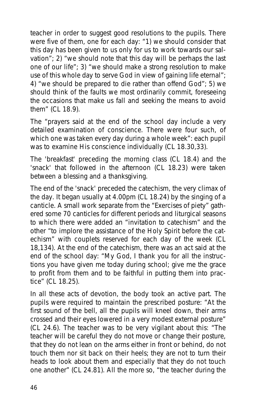teacher in order to suggest good resolutions to the pupils. There were five of them, one for each day: "1) we should consider that this day has been given to us only for us to work towards our salvation"; 2) "we should note that this day will be perhaps the last one of our life"; 3) "we should make a strong resolution to make use of this whole day to serve God in view of gaining life eternal"; 4) "we should be prepared to die rather than offend God"; 5) we should think of the faults we most ordinarily commit, foreseeing the occasions that make us fall and seeking the means to avoid them" (CL 18.9).

The "prayers said at the end of the school day include a very detailed examination of conscience. There were four such, of which one was taken every day during a whole week": each pupil was to examine His conscience individually (CL 18.30,33).

The 'breakfast' preceding the morning class (CL 18.4) and the 'snack' that followed in the afternoon (CL 18.23) were taken between a blessing and a thanksgiving.

The end of the 'snack' preceded the catechism, the very climax of the day. It began usually at 4.00pm (CL 18.24) by the singing of a canticle. A small work separate from the "Exercises of piety" gathered some 70 canticles for different periods and liturgical seasons to which there were added an "invitation to catechism" and the other "to implore the assistance of the Holy Spirit before the catechism" with couplets reserved for each day of the week (CL 18,134). At the end of the catechism, there was an act said at the end of the school day: "My God, I thank you for all the instructions you have given me today during school; give me the grace to profit from them and to be faithful in putting them into practice" (CL 18.25).

In all these acts of devotion, the body took an active part. The pupils were required to maintain the prescribed posture: "At the first sound of the bell, all the pupils will kneel down, their arms crossed and their eyes lowered in a very modest external posture" (CL 24.6). The teacher was to be very vigilant about this: "The teacher will be careful they do not move or change their posture, that they do not lean on the arms either in front or behind, do not touch them nor sit back on their heels; they are not to turn their heads to look about them and especially that they do not touch one another" (CL 24.81). All the more so, "the teacher during the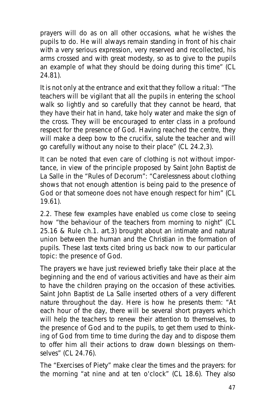prayers will do as on all other occasions, what he wishes the pupils to do. He will always remain standing in front of his chair with a very serious expression, very reserved and recollected, his arms crossed and with great modesty, so as to give to the pupils an example of what they should be doing during this time" (CL 24.81).

It is not only at the entrance and exit that they follow a ritual: "The teachers will be vigilant that all the pupils in entering the school walk so lightly and so carefully that they cannot be heard, that they have their hat in hand, take holy water and make the sign of the cross. They will be encouraged to enter class in a profound respect for the presence of God. Having reached the centre, they will make a deep bow to the crucifix, salute the teacher and will go carefully without any noise to their place" (CL 24.2,3).

It can be noted that even care of clothing is not without importance, in view of the principle proposed by Saint John Baptist de La Salle in the "Rules of Decorum": "Carelessness about clothing shows that not enough attention is being paid to the presence of God or that someone does not have enough respect for him" (CL 19.61).

2.2. These few examples have enabled us come close to seeing how "the behaviour of the teachers from morning to night" (CL 25.16 & Rule ch.1. art.3) brought about an intimate and natural union between the human and the Christian in the formation of pupils. These last texts cited bring us back now to our particular topic: the presence of God.

The prayers we have just reviewed briefly take their place at the beginning and the end of various activities and have as their aim to have the children praying on the occasion of these activities. Saint John Baptist de La Salle inserted others of a very different nature throughout the day. Here is how he presents them: "At each hour of the day, there will be several short prayers which will help the teachers to renew their attention to themselves, to the presence of God and to the pupils, to get them used to thinking of God from time to time during the day and to dispose them to offer him all their actions to draw down blessings on themselves" (CL 24.76).

The "Exercises of Piety" make clear the times and the prayers: for the morning "at nine and at ten o'clock" (CL 18.6). They also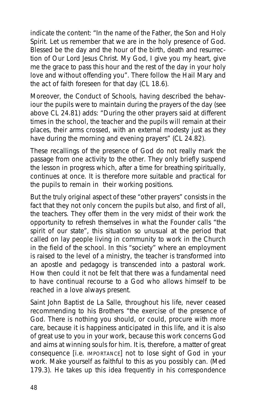indicate the content: "In the name of the Father, the Son and Holy Spirit. Let us remember that we are in the holy presence of God. Blessed be the day and the hour of the birth, death and resurrection of Our Lord Jesus Christ. My God, I give you my heart, give me the grace to pass this hour and the rest of the day in your holy love and without offending you". There follow the Hail Mary and the act of faith foreseen for that day (CL 18.6).

Moreover, the Conduct of Schools, having described the behaviour the pupils were to maintain during the prayers of the day (see above CL 24.81) adds: "During the other prayers said at different times in the school, the teacher and the pupils will remain at their places, their arms crossed, with an external modesty just as they have during the morning and evening prayers" (CL 24.82).

These recallings of the presence of God do not really mark the passage from one activity to the other. They only briefly suspend the lesson in progress which, after a time for breathing spiritually, continues at once. It is therefore more suitable and practical for the pupils to remain in their working positions.

But the truly original aspect of these "other prayers" consists in the fact that they not only concern the pupils but also, and first of all, the teachers. They offer them in the very midst of their work the opportunity to refresh themselves in what the Founder calls "the spirit of our state", this situation so unusual at the period that called on lay people living in community to work in the Church in the field of the school. In this "society" where an employment is raised to the level of a ministry, the teacher is transformed into an apostle and pedagogy is transcended into a pastoral work. How then could it not be felt that there was a fundamental need to have continual recourse to a God who allows himself to be reached in a love always present.

Saint John Baptist de La Salle, throughout his life, never ceased recommending to his Brothers "the exercise of the presence of God. There is nothing you should, or could, procure with more care, because it is happiness anticipated in this life, and it is also of great use to you in your work, because this work concerns God and aims at winning souls for him. It is, therefore, a matter of great consequence [i.e. IMPORTANCE] not to lose sight of God in your work. Make yourself as faithful to this as you possibly can. (Med 179.3). He takes up this idea frequently in his correspondence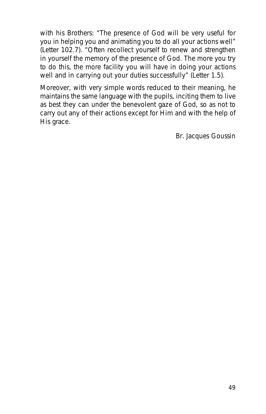with his Brothers: "The presence of God will be very useful for you in helping you and animating you to do all your actions well" (Letter 102.7). "Often recollect yourself to renew and strengthen in yourself the memory of the presence of God. The more you try to do this, the more facility you will have in doing your actions well and in carrying out your duties successfully" (Letter 1.5).

Moreover, with very simple words reduced to their meaning, he maintains the same language with the pupils, inciting them to live as best they can under the benevolent gaze of God, so as not to carry out any of their actions except for Him and with the help of His grace.

*Br. Jacques Goussin*